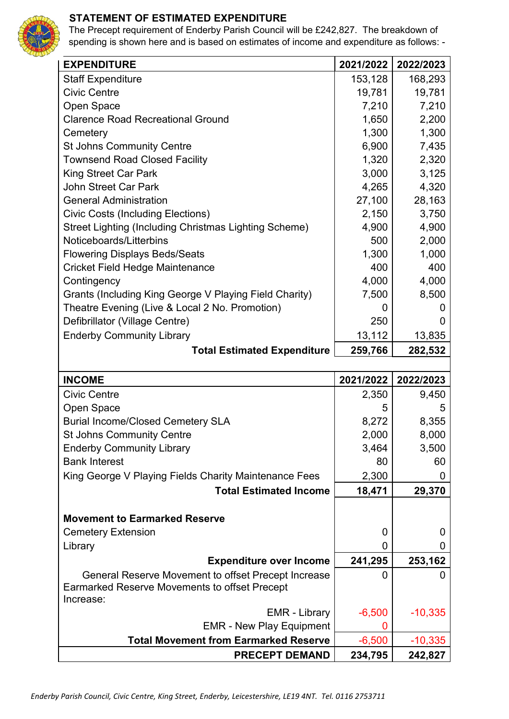

## **STATEMENT OF ESTIMATED EXPENDITURE**

The Precept requirement of Enderby Parish Council will be £242,827. The breakdown of spending is shown here and is based on estimates of income and expenditure as follows: -

| <b>EXPENDITURE</b>                                                                                          | 2021/2022 | 2022/2023 |
|-------------------------------------------------------------------------------------------------------------|-----------|-----------|
| <b>Staff Expenditure</b>                                                                                    | 153,128   | 168,293   |
| <b>Civic Centre</b>                                                                                         | 19,781    | 19,781    |
| Open Space                                                                                                  | 7,210     | 7,210     |
| <b>Clarence Road Recreational Ground</b>                                                                    | 1,650     | 2,200     |
| Cemetery                                                                                                    | 1,300     | 1,300     |
| <b>St Johns Community Centre</b>                                                                            | 6,900     | 7,435     |
| <b>Townsend Road Closed Facility</b>                                                                        | 1,320     | 2,320     |
| <b>King Street Car Park</b>                                                                                 | 3,000     | 3,125     |
| <b>John Street Car Park</b>                                                                                 | 4,265     | 4,320     |
| <b>General Administration</b>                                                                               | 27,100    | 28,163    |
| <b>Civic Costs (Including Elections)</b>                                                                    | 2,150     | 3,750     |
| Street Lighting (Including Christmas Lighting Scheme)                                                       | 4,900     | 4,900     |
| Noticeboards/Litterbins                                                                                     | 500       | 2,000     |
| <b>Flowering Displays Beds/Seats</b>                                                                        | 1,300     | 1,000     |
| <b>Cricket Field Hedge Maintenance</b>                                                                      | 400       | 400       |
| Contingency                                                                                                 | 4,000     | 4,000     |
| Grants (Including King George V Playing Field Charity)                                                      | 7,500     | 8,500     |
| Theatre Evening (Live & Local 2 No. Promotion)                                                              | 0         | O         |
| Defibrillator (Village Centre)                                                                              | 250       |           |
| <b>Enderby Community Library</b>                                                                            | 13,112    | 13,835    |
| <b>Total Estimated Expenditure</b>                                                                          | 259,766   | 282,532   |
|                                                                                                             |           |           |
| <b>INCOME</b>                                                                                               | 2021/2022 | 2022/2023 |
| <b>Civic Centre</b>                                                                                         | 2,350     | 9,450     |
| Open Space                                                                                                  | 5         | 5         |
| <b>Burial Income/Closed Cemetery SLA</b>                                                                    | 8,272     | 8,355     |
| <b>St Johns Community Centre</b>                                                                            | 2,000     | 8,000     |
| <b>Enderby Community Library</b>                                                                            | 3,464     | 3,500     |
| <b>Bank Interest</b>                                                                                        | 80        | 60        |
| King George V Playing Fields Charity Maintenance Fees                                                       | 2,300     | 0         |
| <b>Total Estimated Income</b>                                                                               | 18,471    | 29,370    |
|                                                                                                             |           |           |
| <b>Movement to Earmarked Reserve</b>                                                                        |           |           |
| <b>Cemetery Extension</b>                                                                                   | 0         | Ü         |
| Library                                                                                                     | 0         | 0         |
| <b>Expenditure over Income</b>                                                                              | 241,295   | 253,162   |
| General Reserve Movement to offset Precept Increase<br><b>Earmarked Reserve Movements to offset Precept</b> | 0         |           |
| Increase:                                                                                                   |           |           |
| <b>EMR</b> - Library                                                                                        | $-6,500$  | $-10,335$ |
| <b>EMR - New Play Equipment</b>                                                                             | 0         |           |
| <b>Total Movement from Earmarked Reserve</b>                                                                | $-6,500$  | $-10,335$ |
| <b>PRECEPT DEMAND</b>                                                                                       | 234,795   | 242,827   |